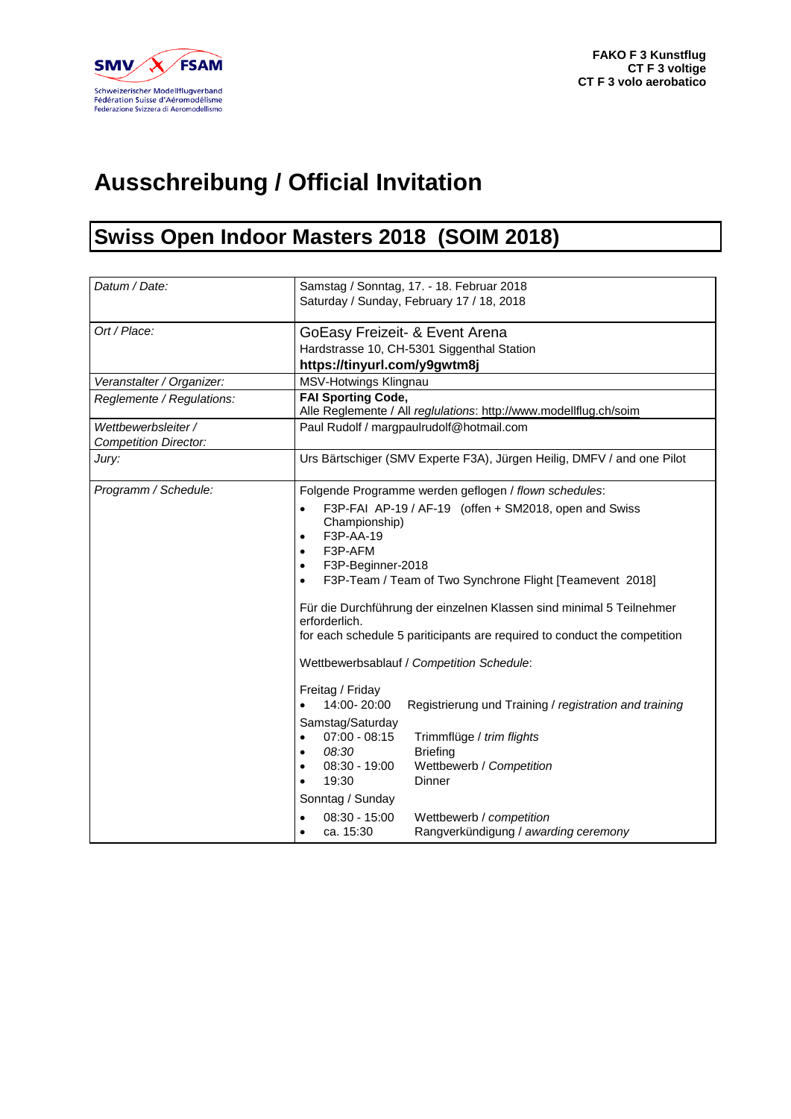

## **Ausschreibung / Official Invitation**

## **Swiss Open Indoor Masters 2018 (SOIM 2018)**

| Datum / Date:                                       | Samstag / Sonntag, 17. - 18. Februar 2018<br>Saturday / Sunday, February 17 / 18, 2018                                                                                                                                                                                                                                                                                                                                                                                                                                                                                                                                    |
|-----------------------------------------------------|---------------------------------------------------------------------------------------------------------------------------------------------------------------------------------------------------------------------------------------------------------------------------------------------------------------------------------------------------------------------------------------------------------------------------------------------------------------------------------------------------------------------------------------------------------------------------------------------------------------------------|
| Ort / Place:                                        | GoEasy Freizeit- & Event Arena<br>Hardstrasse 10, CH-5301 Siggenthal Station<br>https://tinyurl.com/y9gwtm8j                                                                                                                                                                                                                                                                                                                                                                                                                                                                                                              |
| Veranstalter / Organizer:                           | MSV-Hotwings Klingnau                                                                                                                                                                                                                                                                                                                                                                                                                                                                                                                                                                                                     |
| Reglemente / Regulations:                           | <b>FAI Sporting Code,</b><br>Alle Reglemente / All reglulations: http://www.modellflug.ch/soim                                                                                                                                                                                                                                                                                                                                                                                                                                                                                                                            |
| Wettbewerbsleiter /<br><b>Competition Director:</b> | Paul Rudolf / margpaulrudolf@hotmail.com                                                                                                                                                                                                                                                                                                                                                                                                                                                                                                                                                                                  |
| Jury:                                               | Urs Bärtschiger (SMV Experte F3A), Jürgen Heilig, DMFV / and one Pilot                                                                                                                                                                                                                                                                                                                                                                                                                                                                                                                                                    |
| Programm / Schedule:                                | Folgende Programme werden geflogen / flown schedules:<br>F3P-FAI AP-19 / AF-19 (offen + SM2018, open and Swiss<br>$\bullet$<br>Championship)<br>F3P-AA-19<br>$\bullet$<br>F3P-AFM<br>$\bullet$<br>F3P-Beginner-2018<br>$\bullet$<br>F3P-Team / Team of Two Synchrone Flight [Teamevent 2018]<br>$\bullet$<br>Für die Durchführung der einzelnen Klassen sind minimal 5 Teilnehmer<br>erforderlich.<br>for each schedule 5 pariticipants are required to conduct the competition<br>Wettbewerbsablauf / Competition Schedule:<br>Freitag / Friday<br>14:00-20:00<br>Registrierung und Training / registration and training |
|                                                     | Samstag/Saturday<br>$07:00 - 08:15$<br>Trimmflüge / trim flights<br>$\bullet$<br>08:30<br><b>Briefing</b><br>$\bullet$<br>Wettbewerb / Competition<br>$08:30 - 19:00$<br>$\bullet$<br>19:30<br>Dinner<br>$\bullet$<br>Sonntag / Sunday<br>$08:30 - 15:00$<br>Wettbewerb / competition<br>$\bullet$                                                                                                                                                                                                                                                                                                                        |
|                                                     | ca. 15:30<br>Rangverkündigung / awarding ceremony<br>$\bullet$                                                                                                                                                                                                                                                                                                                                                                                                                                                                                                                                                            |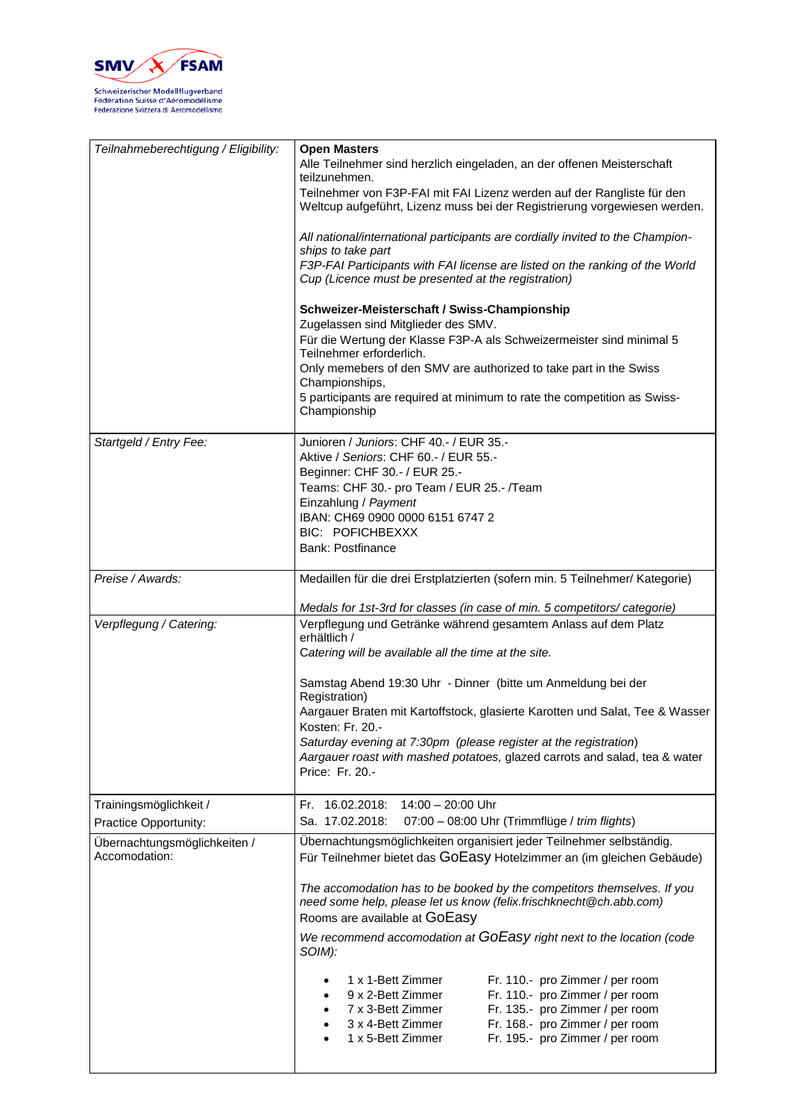

| Teilnahmeberechtigung / Eligibility:          | <b>Open Masters</b><br>Alle Teilnehmer sind herzlich eingeladen, an der offenen Meisterschaft<br>teilzunehmen.<br>Teilnehmer von F3P-FAI mit FAI Lizenz werden auf der Rangliste für den |
|-----------------------------------------------|------------------------------------------------------------------------------------------------------------------------------------------------------------------------------------------|
|                                               | Weltcup aufgeführt, Lizenz muss bei der Registrierung vorgewiesen werden.<br>All national/international participants are cordially invited to the Champion-                              |
|                                               | ships to take part                                                                                                                                                                       |
|                                               | F3P-FAI Participants with FAI license are listed on the ranking of the World<br>Cup (Licence must be presented at the registration)                                                      |
|                                               | Schweizer-Meisterschaft / Swiss-Championship                                                                                                                                             |
|                                               | Zugelassen sind Mitglieder des SMV.<br>Für die Wertung der Klasse F3P-A als Schweizermeister sind minimal 5                                                                              |
|                                               | Teilnehmer erforderlich.                                                                                                                                                                 |
|                                               | Only memebers of den SMV are authorized to take part in the Swiss<br>Championships,                                                                                                      |
|                                               | 5 participants are required at minimum to rate the competition as Swiss-<br>Championship                                                                                                 |
| Startgeld / Entry Fee:                        | Junioren / Juniors: CHF 40.- / EUR 35.-                                                                                                                                                  |
|                                               | Aktive / Seniors: CHF 60.- / EUR 55.-<br>Beginner: CHF 30.- / EUR 25.-                                                                                                                   |
|                                               | Teams: CHF 30.- pro Team / EUR 25.- / Team                                                                                                                                               |
|                                               | Einzahlung / Payment<br>IBAN: CH69 0900 0000 6151 6747 2                                                                                                                                 |
|                                               | <b>BIC: POFICHBEXXX</b>                                                                                                                                                                  |
|                                               | <b>Bank: Postfinance</b>                                                                                                                                                                 |
| Preise / Awards:                              | Medaillen für die drei Erstplatzierten (sofern min. 5 Teilnehmer/ Kategorie)                                                                                                             |
|                                               | Medals for 1st-3rd for classes (in case of min. 5 competitors/ categorie)                                                                                                                |
| Verpflegung / Catering:                       | Verpflegung und Getränke während gesamtem Anlass auf dem Platz<br>erhältlich /                                                                                                           |
|                                               | Catering will be available all the time at the site.                                                                                                                                     |
|                                               | Samstag Abend 19:30 Uhr - Dinner (bitte um Anmeldung bei der                                                                                                                             |
|                                               | Registration)<br>Aargauer Braten mit Kartoffstock, glasierte Karotten und Salat, Tee & Wasser                                                                                            |
|                                               | Kosten: Fr. 20.-                                                                                                                                                                         |
|                                               | Saturday evening at 7:30pm (please register at the registration)<br>Aargauer roast with mashed potatoes, glazed carrots and salad, tea & water                                           |
|                                               | Price: Fr. 20.-                                                                                                                                                                          |
| Trainingsmöglichkeit /                        | Fr. 16.02.2018: 14:00 - 20:00 Uhr                                                                                                                                                        |
| Practice Opportunity:                         | Sa. 17.02.2018:<br>07:00 - 08:00 Uhr (Trimmflüge / trim flights)                                                                                                                         |
| Übernachtungsmöglichkeiten /<br>Accomodation: | Übernachtungsmöglichkeiten organisiert jeder Teilnehmer selbständig.<br>Für Teilnehmer bietet das GOEasy Hotelzimmer an (im gleichen Gebäude)                                            |
|                                               | The accomodation has to be booked by the competitors themselves. If you<br>need some help, please let us know (felix.frischknecht@ch.abb.com)<br>Rooms are available at GOEasy           |
|                                               | We recommend accomodation at GOEasy right next to the location (code<br>SOIM):                                                                                                           |
|                                               | 1 x 1-Bett Zimmer<br>Fr. 110.- pro Zimmer / per room                                                                                                                                     |
|                                               | 9 x 2-Bett Zimmer<br>Fr. 110.- pro Zimmer / per room                                                                                                                                     |
|                                               | 7 x 3-Bett Zimmer<br>Fr. 135.- pro Zimmer / per room<br>3 x 4-Bett Zimmer<br>Fr. 168.- pro Zimmer / per room                                                                             |
|                                               | Fr. 195.- pro Zimmer / per room<br>1 x 5-Bett Zimmer                                                                                                                                     |
|                                               |                                                                                                                                                                                          |